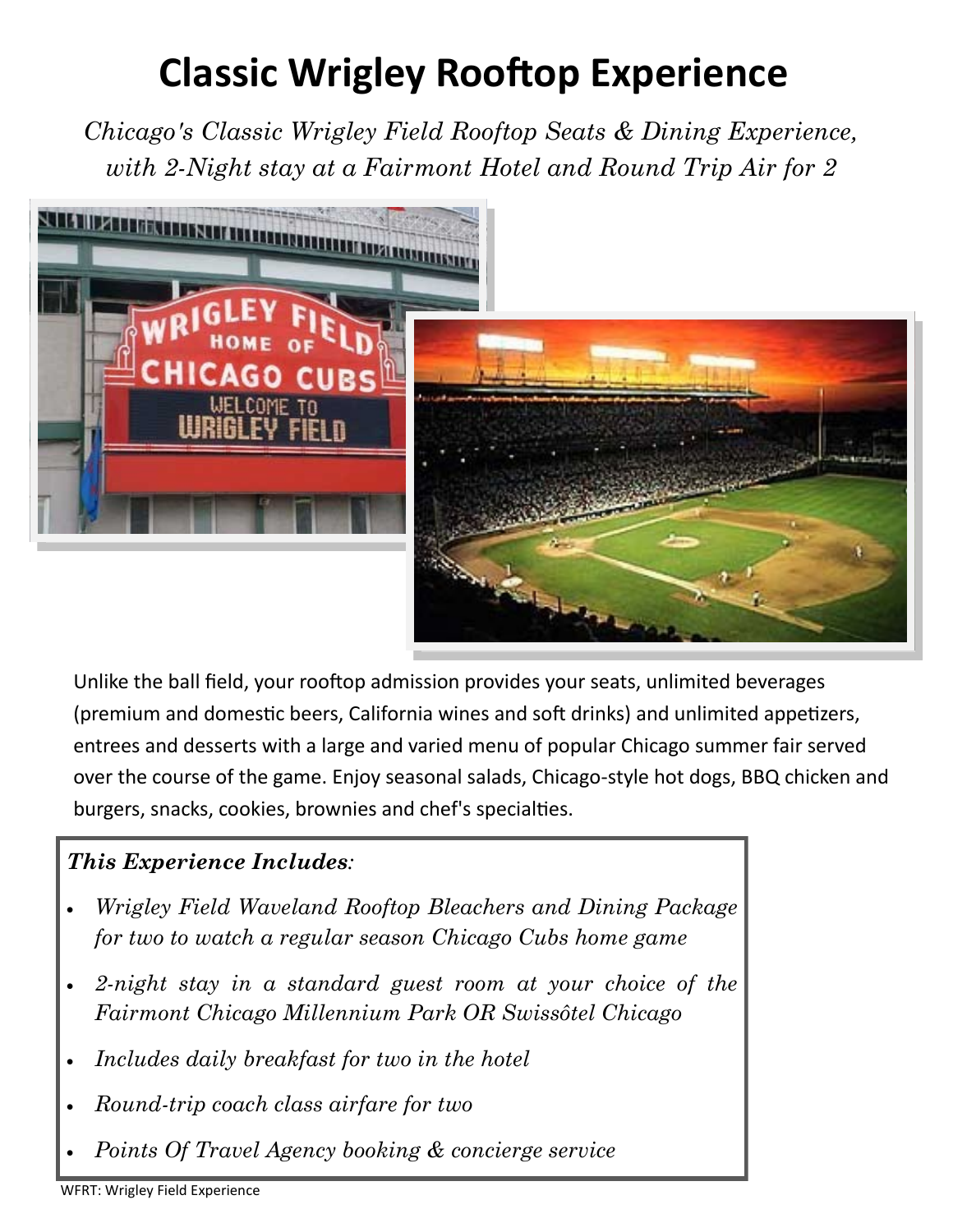## **Classic Wrigley Rooftop Experience**

*Chicago's Classic Wrigley Field Rooftop Seats & Dining Experience, with 2-Night stay at a Fairmont Hotel and Round Trip Air for 2* 



Unlike the ball field, your rooftop admission provides your seats, unlimited beverages (premium and domestic beers, California wines and soft drinks) and unlimited appetizers, entrees and desserts with a large and varied menu of popular Chicago summer fair served over the course of the game. Enjoy seasonal salads, Chicago-style hot dogs, BBQ chicken and burgers, snacks, cookies, brownies and chef's specialties.

## *This Experience Includes:*

- *Wrigley Field Waveland Rooftop Bleachers and Dining Package for two to watch a regular season Chicago Cubs home game*
- *2-night stay in a standard guest room at your choice of the Fairmont Chicago Millennium Park OR Swissôtel Chicago*
- *Includes daily breakfast for two in the hotel*
- *Round-trip coach class airfare for two*
- *Points Of Travel Agency booking & concierge service*